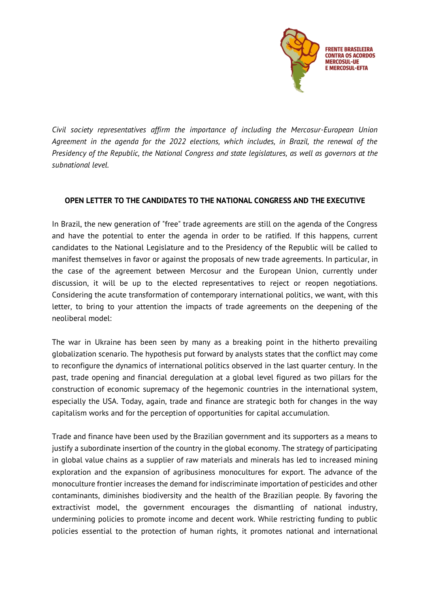

*Civil society representatives affirm the importance of including the Mercosur-European Union Agreement in the agenda for the 2022 elections, which includes, in Brazil, the renewal of the Presidency of the Republic, the National Congress and state legislatures, as well as governors at the subnational level.*

## **OPEN LETTER TO THE CANDIDATES TO THE NATIONAL CONGRESS AND THE EXECUTIVE**

In Brazil, the new generation of "free" trade agreements are still on the agenda of the Congress and have the potential to enter the agenda in order to be ratified. If this happens, current candidates to the National Legislature and to the Presidency of the Republic will be called to manifest themselves in favor or against the proposals of new trade agreements. In particular, in the case of the agreement between Mercosur and the European Union, currently under discussion, it will be up to the elected representatives to reject or reopen negotiations. Considering the acute transformation of contemporary international politics, we want, with this letter, to bring to your attention the impacts of trade agreements on the deepening of the neoliberal model:

The war in Ukraine has been seen by many as a breaking point in the hitherto prevailing globalization scenario. The hypothesis put forward by analysts states that the conflict may come to reconfigure the dynamics of international politics observed in the last quarter century. In the past, trade opening and financial deregulation at a global level figured as two pillars for the construction of economic supremacy of the hegemonic countries in the international system, especially the USA. Today, again, trade and finance are strategic both for changes in the way capitalism works and for the perception of opportunities for capital accumulation.

Trade and finance have been used by the Brazilian government and its supporters as a means to justify a subordinate insertion of the country in the global economy. The strategy of participating in global value chains as a supplier of raw materials and minerals has led to increased mining exploration and the expansion of agribusiness monocultures for export. The advance of the monoculture frontier increases the demand for indiscriminate importation of pesticides and other contaminants, diminishes biodiversity and the health of the Brazilian people. By favoring the extractivist model, the government encourages the dismantling of national industry, undermining policies to promote income and decent work. While restricting funding to public policies essential to the protection of human rights, it promotes national and international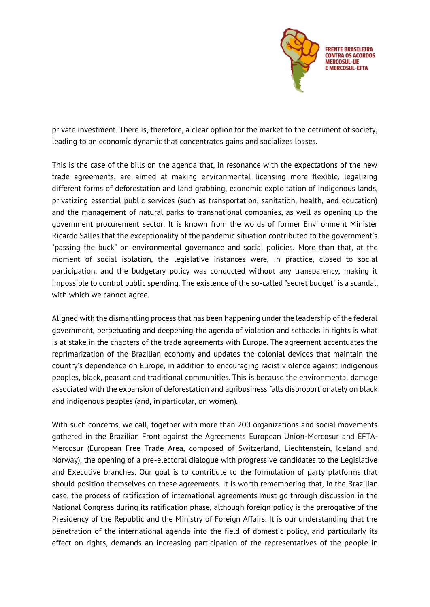

private investment. There is, therefore, a clear option for the market to the detriment of society, leading to an economic dynamic that concentrates gains and socializes losses.

This is the case of the bills on the agenda that, in resonance with the expectations of the new trade agreements, are aimed at making environmental licensing more flexible, legalizing different forms of deforestation and land grabbing, economic exploitation of indigenous lands, privatizing essential public services (such as transportation, sanitation, health, and education) and the management of natural parks to transnational companies, as well as opening up the government procurement sector. It is known from the words of former Environment Minister Ricardo Salles that the exceptionality of the pandemic situation contributed to the government's "passing the buck" on environmental governance and social policies. More than that, at the moment of social isolation, the legislative instances were, in practice, closed to social participation, and the budgetary policy was conducted without any transparency, making it impossible to control public spending. The existence of the so-called "secret budget" is a scandal, with which we cannot agree.

Aligned with the dismantling process that has been happening under the leadership of the federal government, perpetuating and deepening the agenda of violation and setbacks in rights is what is at stake in the chapters of the trade agreements with Europe. The agreement accentuates the reprimarization of the Brazilian economy and updates the colonial devices that maintain the country's dependence on Europe, in addition to encouraging racist violence against indigenous peoples, black, peasant and traditional communities. This is because the environmental damage associated with the expansion of deforestation and agribusiness falls disproportionately on black and indigenous peoples (and, in particular, on women).

With such concerns, we call, together with more than 200 organizations and social movements gathered in the Brazilian Front against the Agreements European Union-Mercosur and EFTA-Mercosur (European Free Trade Area, composed of Switzerland, Liechtenstein, Iceland and Norway), the opening of a pre-electoral dialogue with progressive candidates to the Legislative and Executive branches. Our goal is to contribute to the formulation of party platforms that should position themselves on these agreements. It is worth remembering that, in the Brazilian case, the process of ratification of international agreements must go through discussion in the National Congress during its ratification phase, although foreign policy is the prerogative of the Presidency of the Republic and the Ministry of Foreign Affairs. It is our understanding that the penetration of the international agenda into the field of domestic policy, and particularly its effect on rights, demands an increasing participation of the representatives of the people in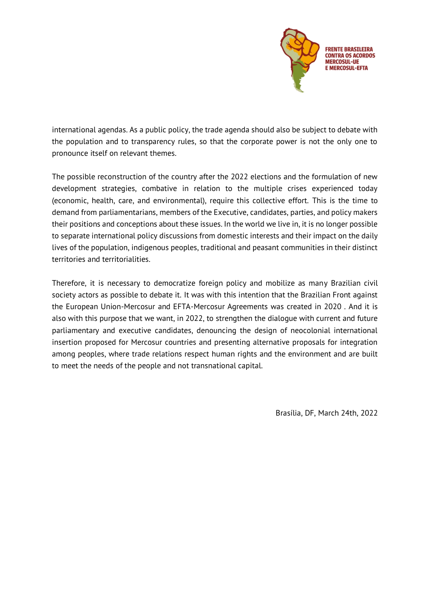

international agendas. As a public policy, the trade agenda should also be subject to debate with the population and to transparency rules, so that the corporate power is not the only one to pronounce itself on relevant themes.

The possible reconstruction of the country after the 2022 elections and the formulation of new development strategies, combative in relation to the multiple crises experienced today (economic, health, care, and environmental), require this collective effort. This is the time to demand from parliamentarians, members of the Executive, candidates, parties, and policy makers their positions and conceptions about these issues. In the world we live in, it is no longer possible to separate international policy discussions from domestic interests and their impact on the daily lives of the population, indigenous peoples, traditional and peasant communities in their distinct territories and territorialities.

Therefore, it is necessary to democratize foreign policy and mobilize as many Brazilian civil society actors as possible to debate it. It was with this intention that the Brazilian Front against the European Union-Mercosur and EFTA-Mercosur Agreements was created in 2020 . And it is also with this purpose that we want, in 2022, to strengthen the dialogue with current and future parliamentary and executive candidates, denouncing the design of neocolonial international insertion proposed for Mercosur countries and presenting alternative proposals for integration among peoples, where trade relations respect human rights and the environment and are built to meet the needs of the people and not transnational capital.

Brasília, DF, March 24th, 2022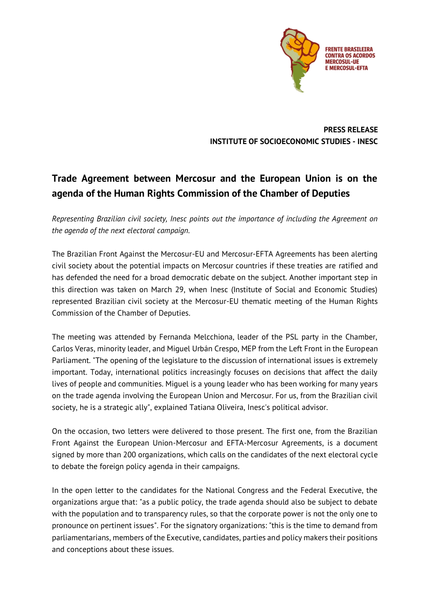

**PRESS RELEASE INSTITUTE OF SOCIOECONOMIC STUDIES - INESC**

## **Trade Agreement between Mercosur and the European Union is on the agenda of the Human Rights Commission of the Chamber of Deputies**

*Representing Brazilian civil society, Inesc points out the importance of including the Agreement on the agenda of the next electoral campaign.*

The Brazilian Front Against the Mercosur-EU and Mercosur-EFTA Agreements has been alerting civil society about the potential impacts on Mercosur countries if these treaties are ratified and has defended the need for a broad democratic debate on the subject. Another important step in this direction was taken on March 29, when Inesc (Institute of Social and Economic Studies) represented Brazilian civil society at the Mercosur-EU thematic meeting of the Human Rights Commission of the Chamber of Deputies.

The meeting was attended by Fernanda Melcchiona, leader of the PSL party in the Chamber, Carlos Veras, minority leader, and Miguel Urbán Crespo, MEP from the Left Front in the European Parliament. "The opening of the legislature to the discussion of international issues is extremely important. Today, international politics increasingly focuses on decisions that affect the daily lives of people and communities. Miguel is a young leader who has been working for many years on the trade agenda involving the European Union and Mercosur. For us, from the Brazilian civil society, he is a strategic ally", explained Tatiana Oliveira, Inesc's political advisor.

On the occasion, two letters were delivered to those present. The first one, from the Brazilian Front Against the European Union-Mercosur and EFTA-Mercosur Agreements, is a document signed by more than 200 organizations, which calls on the candidates of the next electoral cycle to debate the foreign policy agenda in their campaigns.

In the open letter to the candidates for the National Congress and the Federal Executive, the organizations argue that: "as a public policy, the trade agenda should also be subject to debate with the population and to transparency rules, so that the corporate power is not the only one to pronounce on pertinent issues". For the signatory organizations: "this is the time to demand from parliamentarians, members of the Executive, candidates, parties and policy makers their positions and conceptions about these issues.